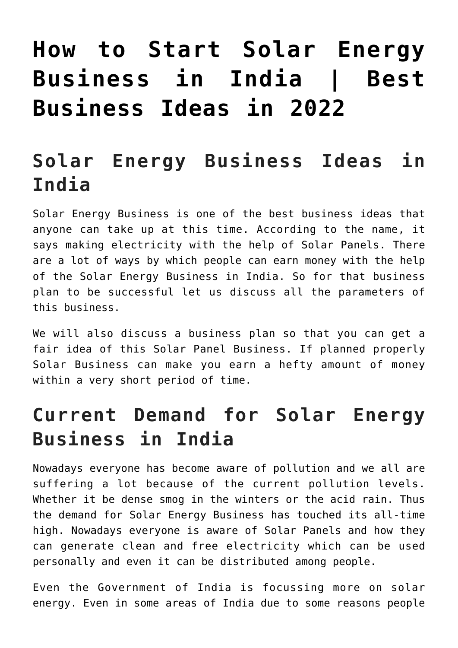# **[How to Start Solar Energy](https://inbusinessideas.com/start-solar-energy-business-in-india/) [Business in India | Best](https://inbusinessideas.com/start-solar-energy-business-in-india/) [Business Ideas in 2022](https://inbusinessideas.com/start-solar-energy-business-in-india/)**

## **Solar Energy Business Ideas in India**

Solar Energy Business is one of the best business ideas that anyone can take up at this time. According to the name, it says making electricity with the help of Solar Panels. There are a lot of ways by which people can earn money with the help of the Solar Energy Business in India. So for that business plan to be successful let us discuss all the parameters of this business.

We will also discuss a business plan so that you can get a fair idea of this Solar Panel Business. If planned properly Solar Business can make you earn a hefty amount of money within a very short period of time.

## **Current Demand for Solar Energy Business in India**

Nowadays everyone has become aware of pollution and we all are suffering a lot because of the current pollution levels. Whether it be dense smog in the winters or the acid rain. Thus the demand for Solar Energy Business has touched its all-time high. Nowadays everyone is aware of Solar Panels and how they can generate clean and free electricity which can be used personally and even it can be distributed among people.

Even the Government of India is focussing more on solar energy. Even in some areas of India due to some reasons people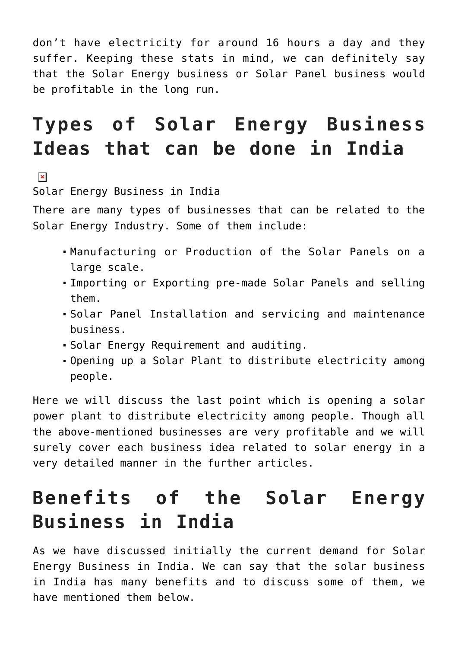don't have electricity for around 16 hours a day and they suffer. Keeping these stats in mind, we can definitely say that the Solar Energy business or Solar Panel business would be profitable in the long run.

# **Types of Solar Energy Business Ideas that can be done in India**

 $\pmb{\times}$ 

Solar Energy Business in India

There are many types of businesses that can be related to the Solar Energy Industry. Some of them include:

- Manufacturing or Production of the Solar Panels on a large scale.
- Importing or Exporting pre-made Solar Panels and selling them.
- Solar Panel Installation and servicing and maintenance business.
- Solar Energy Requirement and auditing.
- Opening up a Solar Plant to distribute electricity among people.

Here we will discuss the last point which is opening a solar power plant to distribute electricity among people. Though all the above-mentioned businesses are very profitable and we will surely cover each business idea related to solar energy in a very detailed manner in the further articles.

## **Benefits of the Solar Energy Business in India**

As we have discussed initially the current demand for Solar Energy Business in India. We can say that the solar business in India has many benefits and to discuss some of them, we have mentioned them below.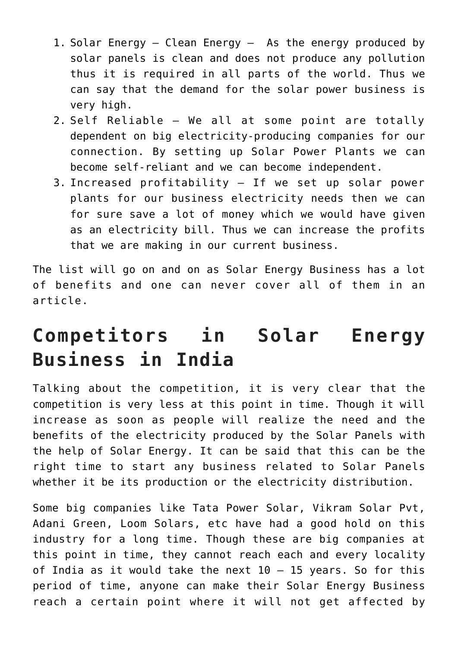- 1. Solar Energy Clean Energy As the energy produced by solar panels is clean and does not produce any pollution thus it is required in all parts of the world. Thus we can say that the demand for the solar power business is very high.
- 2. Self Reliable We all at some point are totally dependent on big electricity-producing companies for our connection. By setting up Solar Power Plants we can become self-reliant and we can become independent.
- 3. Increased profitability If we set up solar power plants for our business electricity needs then we can for sure save a lot of money which we would have given as an electricity bill. Thus we can increase the profits that we are making in our current business.

The list will go on and on as Solar Energy Business has a lot of benefits and one can never cover all of them in an article.

## **Competitors in Solar Energy Business in India**

Talking about the competition, it is very clear that the competition is very less at this point in time. Though it will increase as soon as people will realize the need and the benefits of the electricity produced by the Solar Panels with the help of Solar Energy. It can be said that this can be the right time to start any business related to Solar Panels whether it be its production or the electricity distribution.

Some big companies like Tata Power Solar, Vikram Solar Pvt, Adani Green, Loom Solars, etc have had a good hold on this industry for a long time. Though these are big companies at this point in time, they cannot reach each and every locality of India as it would take the next  $10 - 15$  years. So for this period of time, anyone can make their Solar Energy Business reach a certain point where it will not get affected by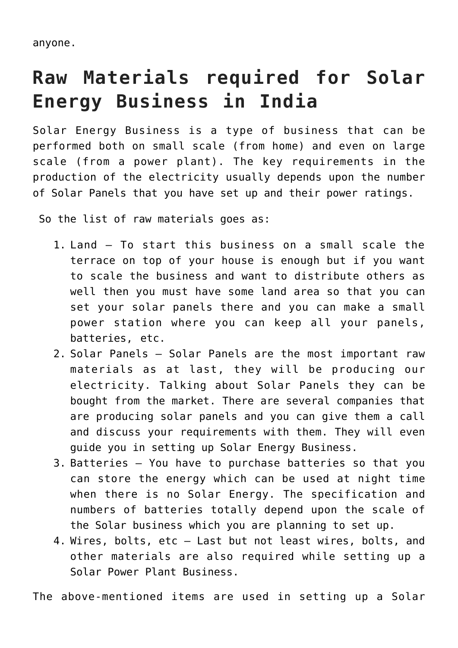anyone.

# **Raw Materials required for Solar Energy Business in India**

Solar Energy Business is a type of business that can be performed both on small scale (from home) and even on large scale (from a power plant). The key requirements in the production of the electricity usually depends upon the number of Solar Panels that you have set up and their power ratings.

So the list of raw materials goes as:

- 1. Land To start this business on a small scale the terrace on top of your house is enough but if you want to scale the business and want to distribute others as well then you must have some land area so that you can set your solar panels there and you can make a small power station where you can keep all your panels, batteries, etc.
- 2. Solar Panels Solar Panels are the most important raw materials as at last, they will be producing our electricity. Talking about Solar Panels they can be bought from the market. There are several companies that are producing solar panels and you can give them a call and discuss your requirements with them. They will even guide you in setting up Solar Energy Business.
- 3. Batteries You have to purchase batteries so that you can store the energy which can be used at night time when there is no Solar Energy. The specification and numbers of batteries totally depend upon the scale of the Solar business which you are planning to set up.
- 4. Wires, bolts, etc Last but not least wires, bolts, and other materials are also required while setting up a Solar Power Plant Business.

The above-mentioned items are used in setting up a Solar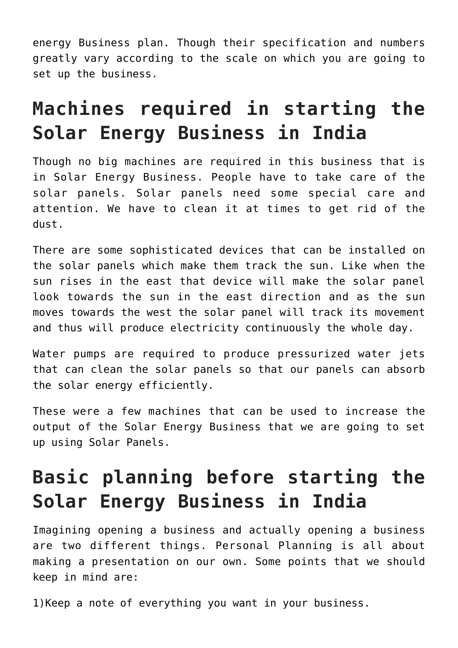energy Business plan. Though their specification and numbers greatly vary according to the scale on which you are going to set up the business.

# **Machines required in starting the Solar Energy Business in India**

Though no big machines are required in this business that is in Solar Energy Business. People have to take care of the solar panels. Solar panels need some special care and attention. We have to clean it at times to get rid of the dust.

There are some sophisticated devices that can be installed on the solar panels which make them track the sun. Like when the sun rises in the east that device will make the solar panel look towards the sun in the east direction and as the sun moves towards the west the solar panel will track its movement and thus will produce electricity continuously the whole day.

Water pumps are required to produce pressurized water jets that can clean the solar panels so that our panels can absorb the solar energy efficiently.

These were a few machines that can be used to increase the output of the Solar Energy Business that we are going to set up using Solar Panels.

# **Basic planning before starting the Solar Energy Business in India**

Imagining opening a business and actually opening a business are two different things. Personal Planning is all about making a presentation on our own. Some points that we should keep in mind are:

1)Keep a note of everything you want in your business.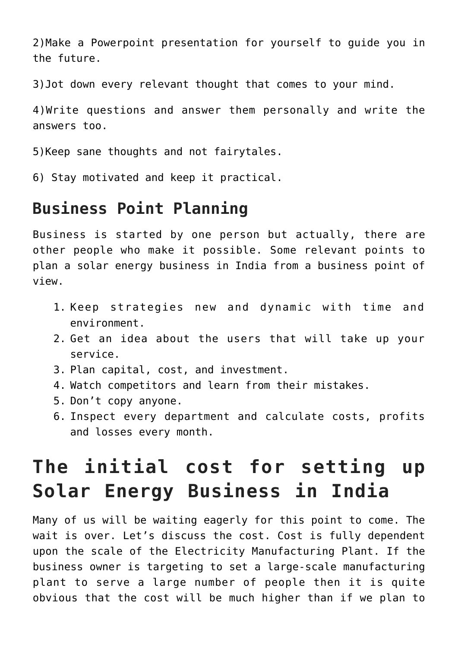2)Make a Powerpoint presentation for yourself to guide you in the future.

3)Jot down every relevant thought that comes to your mind.

4)Write questions and answer them personally and write the answers too.

5)Keep sane thoughts and not fairytales.

6) Stay motivated and keep it practical.

#### **Business Point Planning**

Business is started by one person but actually, there are other people who make it possible. Some relevant points to plan a solar energy business in India from a business point of view.

- 1. Keep strategies new and dynamic with time and environment.
- 2. Get an idea about the users that will take up your service.
- 3. Plan capital, cost, and investment.
- 4. Watch competitors and learn from their mistakes.
- 5. Don't copy anyone.
- 6. Inspect every department and calculate costs, profits and losses every month.

# **The initial cost for setting up Solar Energy Business in India**

Many of us will be waiting eagerly for this point to come. The wait is over. Let's discuss the cost. Cost is fully dependent upon the scale of the Electricity Manufacturing Plant. If the business owner is targeting to set a large-scale manufacturing plant to serve a large number of people then it is quite obvious that the cost will be much higher than if we plan to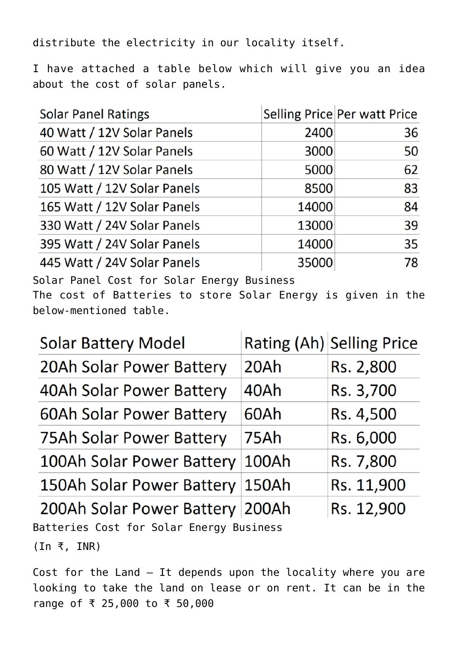distribute the electricity in our locality itself.

I have attached a table below which will give you an idea about the cost of solar panels.

| <b>Solar Panel Ratings</b>  |       | Selling Price Per watt Price |
|-----------------------------|-------|------------------------------|
| 40 Watt / 12V Solar Panels  | 2400  | 36                           |
| 60 Watt / 12V Solar Panels  | 3000  | 50                           |
| 80 Watt / 12V Solar Panels  | 5000  | 62                           |
| 105 Watt / 12V Solar Panels | 8500  | 83                           |
| 165 Watt / 12V Solar Panels | 14000 | 84                           |
| 330 Watt / 24V Solar Panels | 13000 | 39                           |
| 395 Watt / 24V Solar Panels | 14000 | 35                           |
| 445 Watt / 24V Solar Panels | 35000 | 78                           |

Solar Panel Cost for Solar Energy Business

The cost of Batteries to store Solar Energy is given in the below-mentioned table.

| <b>Solar Battery Model</b>      |             | Rating (Ah) Selling Price |
|---------------------------------|-------------|---------------------------|
| 20Ah Solar Power Battery        | 20Ah        | Rs. 2,800                 |
| 40Ah Solar Power Battery        | 40Ah        | Rs. 3,700                 |
| <b>60Ah Solar Power Battery</b> | 60Ah        | Rs. 4,500                 |
| 75Ah Solar Power Battery        | <b>75Ah</b> | Rs. 6,000                 |
| 100Ah Solar Power Battery       | 100Ah       | Rs. 7,800                 |
| 150Ah Solar Power Battery       | 150Ah       | Rs. 11,900                |
| 200Ah Solar Power Battery 200Ah |             | Rs. 12,900                |

Batteries Cost for Solar Energy Business (In ₹, INR)

Cost for the Land – It depends upon the locality where you are looking to take the land on lease or on rent. It can be in the range of ₹ 25,000 to ₹ 50,000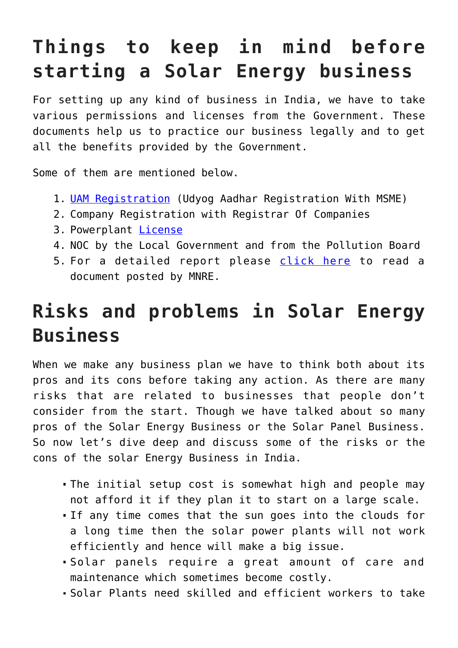# **Things to keep in mind before starting a Solar Energy business**

For setting up any kind of business in India, we have to take various permissions and licenses from the Government. These documents help us to practice our business legally and to get all the benefits provided by the Government.

Some of them are mentioned below.

- 1. [UAM Registration](https://udyamregistration.gov.in/Government-India/Ministry-MSME-registration.htm) (Udyog Aadhar Registration With MSME)
- 2. Company Registration with Registrar Of Companies
- 3. Powerplant [License](https://powermin.gov.in/en/content/licensing-transmission-and-supply)
- 4. NOC by the Local Government and from the Pollution Board
- 5. For a detailed report please [click here](https://mnre.gov.in/img/documents/uploads/file_f-1580894745068.pdf) to read a document posted by MNRE.

# **Risks and problems in Solar Energy Business**

When we make any business plan we have to think both about its pros and its cons before taking any action. As there are many risks that are related to businesses that people don't consider from the start. Though we have talked about so many pros of the Solar Energy Business or the Solar Panel Business. So now let's dive deep and discuss some of the risks or the cons of the solar Energy Business in India.

- The initial setup cost is somewhat high and people may not afford it if they plan it to start on a large scale.
- If any time comes that the sun goes into the clouds for a long time then the solar power plants will not work efficiently and hence will make a big issue.
- Solar panels require a great amount of care and maintenance which sometimes become costly.
- Solar Plants need skilled and efficient workers to take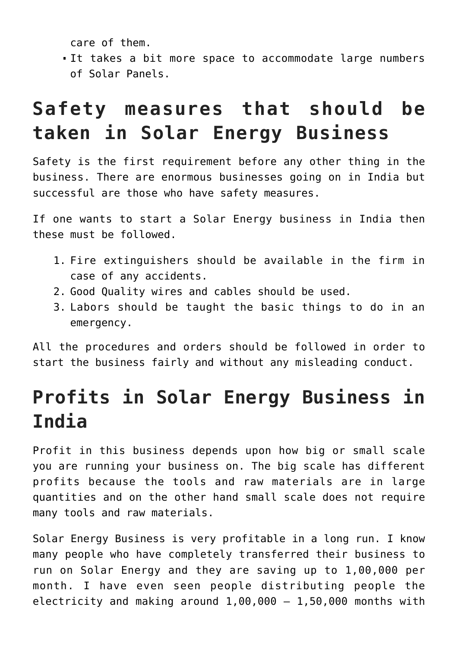care of them.

It takes a bit more space to accommodate large numbers of Solar Panels.

## **Safety measures that should be taken in Solar Energy Business**

Safety is the first requirement before any other thing in the business. There are enormous businesses going on in India but successful are those who have safety measures.

If one wants to start a Solar Energy business in India then these must be followed.

- 1. Fire extinguishers should be available in the firm in case of any accidents.
- 2. Good Quality wires and cables should be used.
- 3. Labors should be taught the basic things to do in an emergency.

All the procedures and orders should be followed in order to start the business fairly and without any misleading conduct.

# **Profits in Solar Energy Business in India**

Profit in this business depends upon how big or small scale you are running your business on. The big scale has different profits because the tools and raw materials are in large quantities and on the other hand small scale does not require many tools and raw materials.

Solar Energy Business is very profitable in a long run. I know many people who have completely transferred their business to run on Solar Energy and they are saving up to 1,00,000 per month. I have even seen people distributing people the electricity and making around  $1,00,000 - 1,50,000$  months with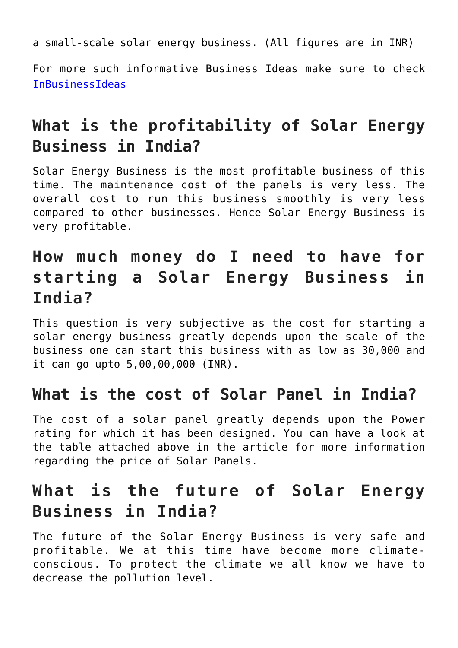a small-scale solar energy business. (All figures are in INR)

For more such informative Business Ideas make sure to check [InBusinessIdeas](https://inbusinessideas.com/all-business-ideas/)

### **What is the profitability of Solar Energy Business in India?**

Solar Energy Business is the most profitable business of this time. The maintenance cost of the panels is very less. The overall cost to run this business smoothly is very less compared to other businesses. Hence Solar Energy Business is very profitable.

### **How much money do I need to have for starting a Solar Energy Business in India?**

This question is very subjective as the cost for starting a solar energy business greatly depends upon the scale of the business one can start this business with as low as 30,000 and it can go upto 5,00,00,000 (INR).

#### **What is the cost of Solar Panel in India?**

The cost of a solar panel greatly depends upon the Power rating for which it has been designed. You can have a look at the table attached above in the article for more information regarding the price of Solar Panels.

### **What is the future of Solar Energy Business in India?**

The future of the Solar Energy Business is very safe and profitable. We at this time have become more climateconscious. To protect the climate we all know we have to decrease the pollution level.